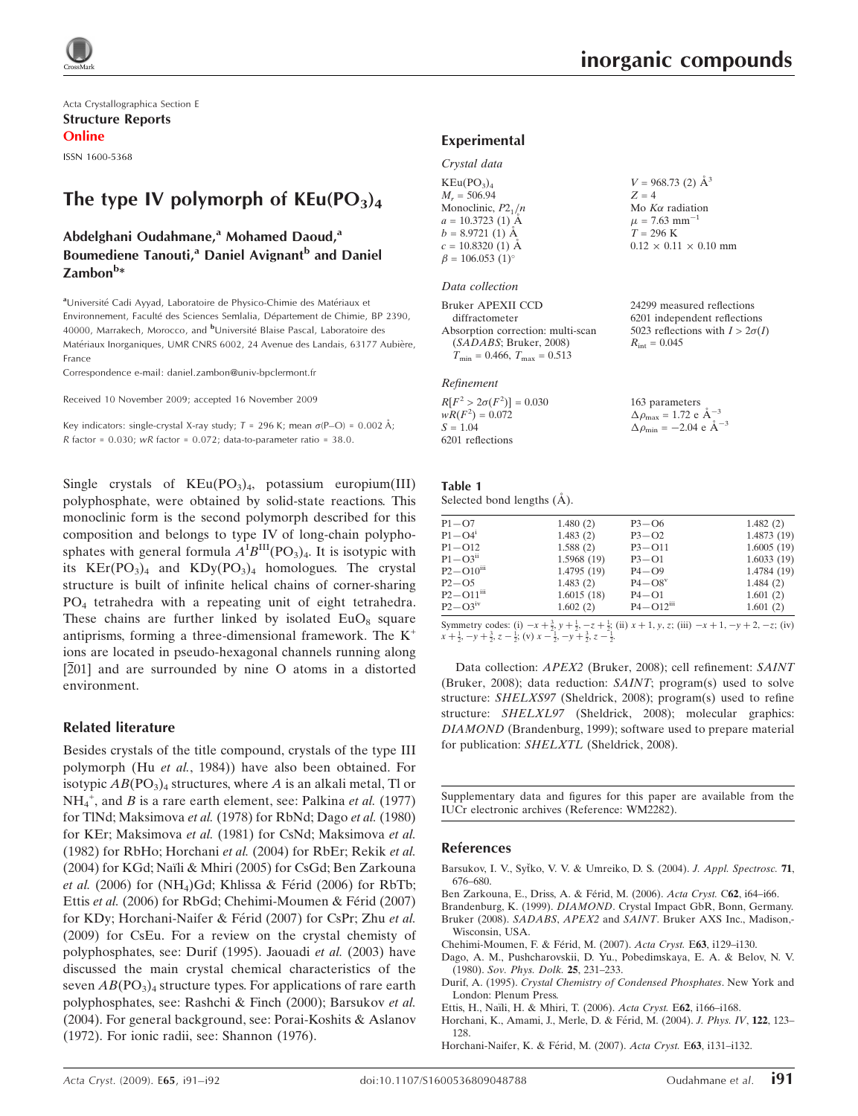Acta Crystallographica Section E Structure Reports Online

ISSN 1600-5368

# The type IV polymorph of  $KEu(PO<sub>3</sub>)<sub>4</sub>$

### Abdelghani Oudahmane,<sup>a</sup> Mohamed Daoud,<sup>a</sup> Boumediene Tanouti,<sup>a</sup> Daniel Avignant<sup>b</sup> and Daniel Zambon<sup>b</sup>\*

aUniversité Cadi Ayyad, Laboratoire de Physico-Chimie des Matériaux et Environnement, Faculté des Sciences Semlalia, Département de Chimie, BP 2390, 40000, Marrakech, Morocco, and <sup>b</sup>Université Blaise Pascal, Laboratoire des Matériaux Inorganiques, UMR CNRS 6002, 24 Avenue des Landais, 63177 Aubière, France

Correspondence e-mail: daniel.zambon@univ-bpclermont.fr

Received 10 November 2009; accepted 16 November 2009

Key indicators: single-crystal X-ray study;  $T = 296$  K; mean  $\sigma$ (P-O) = 0.002 Å; R factor =  $0.030$ ; wR factor =  $0.072$ ; data-to-parameter ratio =  $38.0$ .

Single crystals of  $KEu(PO<sub>3</sub>)<sub>4</sub>$ , potassium europium(III) polyphosphate, were obtained by solid-state reactions. This monoclinic form is the second polymorph described for this composition and belongs to type IV of long-chain polyphosphates with general formula  $A^{\text{I}}B^{\text{III}}(PO_3)_4$ . It is isotypic with its  $KEr(PO<sub>3</sub>)<sub>4</sub>$  and  $KDy(PO<sub>3</sub>)<sub>4</sub>$  homologues. The crystal structure is built of infinite helical chains of corner-sharing PO4 tetrahedra with a repeating unit of eight tetrahedra. These chains are further linked by isolated  $EuO_8$  square antiprisms, forming a three-dimensional framework. The  $K^+$ ions are located in pseudo-hexagonal channels running along [201] and are surrounded by nine O atoms in a distorted environment.

#### Related literature

Besides crystals of the title compound, crystals of the type III polymorph (Hu et al., 1984)) have also been obtained. For isotypic  $AB(PO<sub>3</sub>)<sub>4</sub>$  structures, where A is an alkali metal, Tl or  $NH_4^+$ , and B is a rare earth element, see: Palkina *et al.* (1977) for TlNd; Maksimova et al. (1978) for RbNd; Dago et al. (1980) for KEr; Maksimova et al. (1981) for CsNd; Maksimova et al. (1982) for RbHo; Horchani et al. (2004) for RbEr; Rekik et al. (2004) for KGd; Naïli & Mhiri (2005) for CsGd; Ben Zarkouna et al. (2006) for  $(NH<sub>4</sub>)$ Gd; Khlissa & Férid (2006) for RbTb; Ettis et al. (2006) for RbGd; Chehimi-Moumen & Férid (2007) for KDy; Horchani-Naifer & Férid (2007) for CsPr; Zhu et al. (2009) for CsEu. For a review on the crystal chemisty of polyphosphates, see: Durif (1995). Jaouadi et al. (2003) have discussed the main crystal chemical characteristics of the seven  $AB(PO<sub>3</sub>)<sub>4</sub>$  structure types. For applications of rare earth polyphosphates, see: Rashchi & Finch (2000); Barsukov et al. (2004). For general background, see: Porai-Koshits & Aslanov (1972). For ionic radii, see: Shannon (1976).

24299 measured reflections 6201 independent reflections 5023 reflections with  $I > 2\sigma(I)$ 

 $= 1.72$  e  $\AA^{-3}$ 

 $= -2.04$  e  $\rm{\AA}^{-3}$ 

 $R_{\text{int}} = 0.045$ 

#### Experimental

| Crystal data |  |
|--------------|--|

| KEu(PO <sub>3</sub> ) <sub>4</sub> | $V = 968.73$ (2) $\AA^3$          |
|------------------------------------|-----------------------------------|
| $M_r = 506.94$                     | $Z = 4$                           |
| Monoclinic, $P2_1/n$               | Mo $K\alpha$ radiation            |
| $a = 10.3723$ (1) A                | $\mu$ = 7.63 mm <sup>-1</sup>     |
| $b = 8.9721(1)$ A                  | $T = 296 \text{ K}$               |
| $c = 10.8320$ (1) A                | $0.12 \times 0.11 \times 0.10$ mm |
| $\beta = 106.053$ (1) <sup>o</sup> |                                   |

#### Data collection

Bruker APEXII CCD diffractometer Absorption correction: multi-scan (SADABS; Bruker, 2008)  $T_{\text{min}} = 0.466, T_{\text{max}} = 0.513$ 

#### Refinement

| $R[F^2 > 2\sigma(F^2)] = 0.030$ | 163 parameters                      |
|---------------------------------|-------------------------------------|
| $wR(F^2) = 0.072$               | $\Delta \rho_{\text{max}} = 1.72$ e |
| $S = 1.04$                      | $\Delta \rho_{\rm min} = -2.04$     |
| 6201 reflections                |                                     |

# Table 1

| Selected bond lengths (A). |  |  |
|----------------------------|--|--|
|                            |  |  |

| 1.6015(18)<br>1.602(2) | $P4 - O1$<br>$P4 - Q12$ <sup>iii</sup> | 1.601(2)<br>1.601(2) |
|------------------------|----------------------------------------|----------------------|
|                        |                                        |                      |
|                        |                                        |                      |
|                        | $P4 - O8$ <sup>v</sup>                 | 1.484(2)             |
| 1.4795(19)             | $P4 - Q9$                              | 1.4784 (19)          |
| 1.5968 (19)            | $P3 - Q1$                              | 1.6033(19)           |
| 1.588(2)               | $P3 - O11$                             | 1.6005(19)           |
| 1.483(2)               | $P3 - O2$                              | 1.4873(19)           |
| 1.480(2)               | $P3 - O6$                              | 1.482(2)             |
|                        | 1.483(2)                               |                      |

Symmetry codes: (i)  $-x + \frac{3}{2}$ ,  $y + \frac{1}{2}$ ,  $-z + \frac{1}{2}$ ; (ii)  $x + 1$ ,  $y$ ,  $z$ ; (iii)  $-x + 1$ ,  $-y + 2$ ,  $-z$ ; (iv)  $x + \frac{1}{2}, -y + \frac{3}{2}, z - \frac{1}{2}$ ; (v)  $x - \frac{1}{2}, -y + \frac{3}{2}, z - \frac{1}{2}$ .

Data collection: APEX2 (Bruker, 2008); cell refinement: SAINT (Bruker, 2008); data reduction: SAINT; program(s) used to solve structure: SHELXS97 (Sheldrick, 2008); program(s) used to refine structure: SHELXL97 (Sheldrick, 2008); molecular graphics: DIAMOND (Brandenburg, 1999); software used to prepare material for publication: SHELXTL (Sheldrick, 2008).

Supplementary data and figures for this paper are available from the IUCr electronic archives (Reference: WM2282).

#### References

- Barsukov, I. V., Syťko, V. V. & Umreiko, D. S. (2004). J. Appl. Spectrosc. 71, [676–680.](https://scripts.iucr.org/cgi-bin/cr.cgi?rm=pdfbb&cnor=wm2282&bbid=BB1)
- Ben Zarkouna, E., Driss, A. & Férid, M. (2006). Acta Cryst. C62, i64-i66.
- Brandenburg, K. (1999). DIAMOND[. Crystal Impact GbR, Bonn, Germany.](https://scripts.iucr.org/cgi-bin/cr.cgi?rm=pdfbb&cnor=wm2282&bbid=BB3) Bruker (2008). SADABS, APEX2 and SAINT[. Bruker AXS Inc., Madison,-](https://scripts.iucr.org/cgi-bin/cr.cgi?rm=pdfbb&cnor=wm2282&bbid=BB4) [Wisconsin, USA.](https://scripts.iucr.org/cgi-bin/cr.cgi?rm=pdfbb&cnor=wm2282&bbid=BB4)
- Chehimi-Moumen, F. & Férid, M. (2007). Acta Cryst. E63, i129-i130.
- [Dago, A. M., Pushcharovskii, D. Yu., Pobedimskaya, E. A. & Belov, N. V.](https://scripts.iucr.org/cgi-bin/cr.cgi?rm=pdfbb&cnor=wm2282&bbid=BB6) (1980). [Sov. Phys. Dolk.](https://scripts.iucr.org/cgi-bin/cr.cgi?rm=pdfbb&cnor=wm2282&bbid=BB6) 25, 231–233.
- Durif, A. (1995). [Crystal Chemistry of Condensed Phosphates](https://scripts.iucr.org/cgi-bin/cr.cgi?rm=pdfbb&cnor=wm2282&bbid=BB7). New York and [London: Plenum Press.](https://scripts.iucr.org/cgi-bin/cr.cgi?rm=pdfbb&cnor=wm2282&bbid=BB7)
- Ettis, H., Naïli, H. & Mhiri, T. (2006). Acta Cryst. E62, i166-i168.

Horchani, K., Amami, J., Merle, D. & Férid, M. (2004). J. Phys. IV, 122, 123-[128.](https://scripts.iucr.org/cgi-bin/cr.cgi?rm=pdfbb&cnor=wm2282&bbid=BB9)

Horchani-Naifer, K. & Férid, M. (2007). Acta Cryst. E63, i131-i132.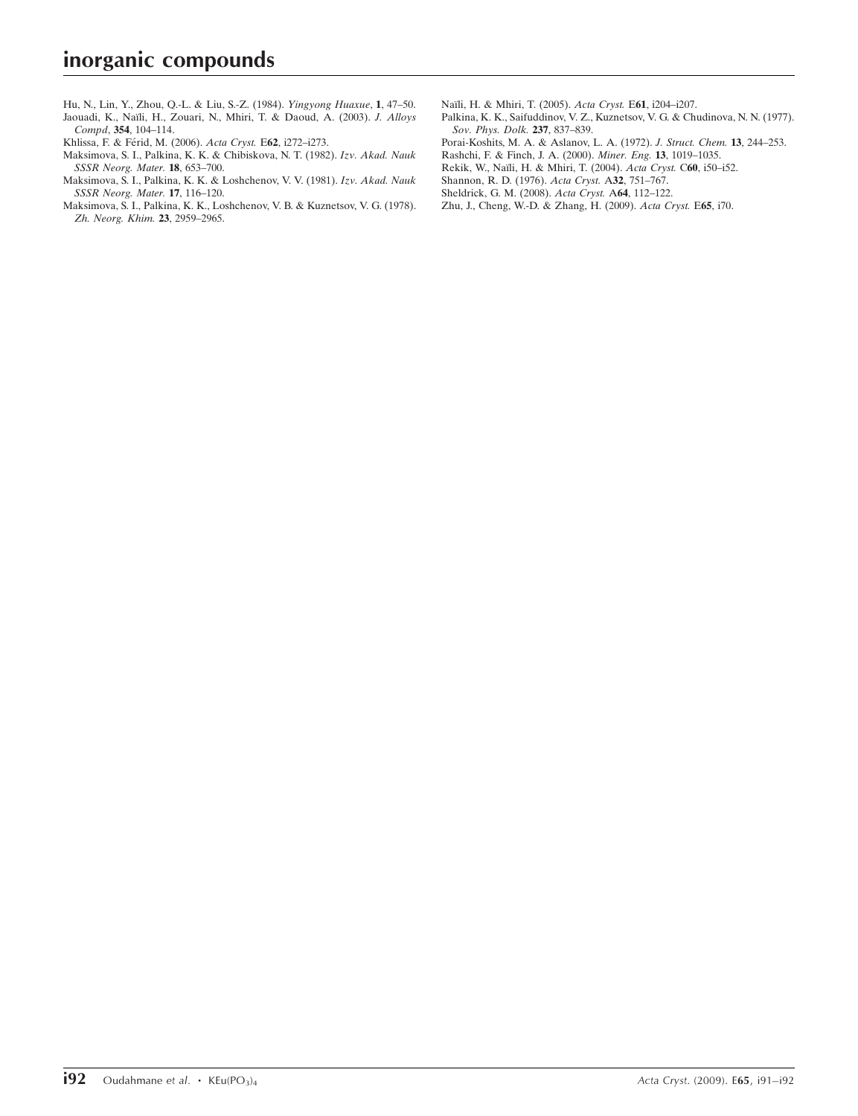[Hu, N., Lin, Y., Zhou, Q.-L. & Liu, S.-Z. \(1984\).](https://scripts.iucr.org/cgi-bin/cr.cgi?rm=pdfbb&cnor=wm2282&bbid=BB11) Yingyong Huaxue, 1, 47–50. Jaouadi, K., Naïli, H., Zouari, N., Mhiri, T. & Daoud, A. (2003). J. Alloys Compd, 354[, 104–114.](https://scripts.iucr.org/cgi-bin/cr.cgi?rm=pdfbb&cnor=wm2282&bbid=BB12)

Khlissa, F. & Férid, M. (2006). Acta Cryst. E62, i272-i273.

- [Maksimova, S. I., Palkina, K. K. & Chibiskova, N. T. \(1982\).](https://scripts.iucr.org/cgi-bin/cr.cgi?rm=pdfbb&cnor=wm2282&bbid=BB14) Izv. Akad. Nauk [SSSR Neorg. Mater.](https://scripts.iucr.org/cgi-bin/cr.cgi?rm=pdfbb&cnor=wm2282&bbid=BB14) 18, 653–700.
- [Maksimova, S. I., Palkina, K. K. & Loshchenov, V. V. \(1981\).](https://scripts.iucr.org/cgi-bin/cr.cgi?rm=pdfbb&cnor=wm2282&bbid=BB15) Izv. Akad. Nauk [SSSR Neorg. Mater.](https://scripts.iucr.org/cgi-bin/cr.cgi?rm=pdfbb&cnor=wm2282&bbid=BB15) 17, 116–120.
- [Maksimova, S. I., Palkina, K. K., Loshchenov, V. B. & Kuznetsov, V. G. \(1978\).](https://scripts.iucr.org/cgi-bin/cr.cgi?rm=pdfbb&cnor=wm2282&bbid=BB16) [Zh. Neorg. Khim.](https://scripts.iucr.org/cgi-bin/cr.cgi?rm=pdfbb&cnor=wm2282&bbid=BB16) 23, 2959–2965.
- Naïli, H. & Mhiri, T. (2005). Acta Cryst. E61, i204-i207.
- [Palkina, K. K., Saifuddinov, V. Z., Kuznetsov, V. G. & Chudinova, N. N. \(1977\).](https://scripts.iucr.org/cgi-bin/cr.cgi?rm=pdfbb&cnor=wm2282&bbid=BB18) [Sov. Phys. Dolk.](https://scripts.iucr.org/cgi-bin/cr.cgi?rm=pdfbb&cnor=wm2282&bbid=BB18) 237, 837–839.
- [Porai-Koshits, M. A. & Aslanov, L. A. \(1972\).](https://scripts.iucr.org/cgi-bin/cr.cgi?rm=pdfbb&cnor=wm2282&bbid=BB19) J. Struct. Chem. 13, 244–253.
- [Rashchi, F. & Finch, J. A. \(2000\).](https://scripts.iucr.org/cgi-bin/cr.cgi?rm=pdfbb&cnor=wm2282&bbid=BB20) Miner. Eng. 13, 1019–1035.
- Rekik, W., Naïli, H. & Mhiri, T. (2004). Acta Cryst. C60, i50-i52.
- [Shannon, R. D. \(1976\).](https://scripts.iucr.org/cgi-bin/cr.cgi?rm=pdfbb&cnor=wm2282&bbid=BB22) Acta Cryst. A32, 751–767.
- [Sheldrick, G. M. \(2008\).](https://scripts.iucr.org/cgi-bin/cr.cgi?rm=pdfbb&cnor=wm2282&bbid=BB23) Acta Cryst. A64, 112–122.
- [Zhu, J., Cheng, W.-D. & Zhang, H. \(2009\).](https://scripts.iucr.org/cgi-bin/cr.cgi?rm=pdfbb&cnor=wm2282&bbid=BB24) Acta Cryst. E65, i70.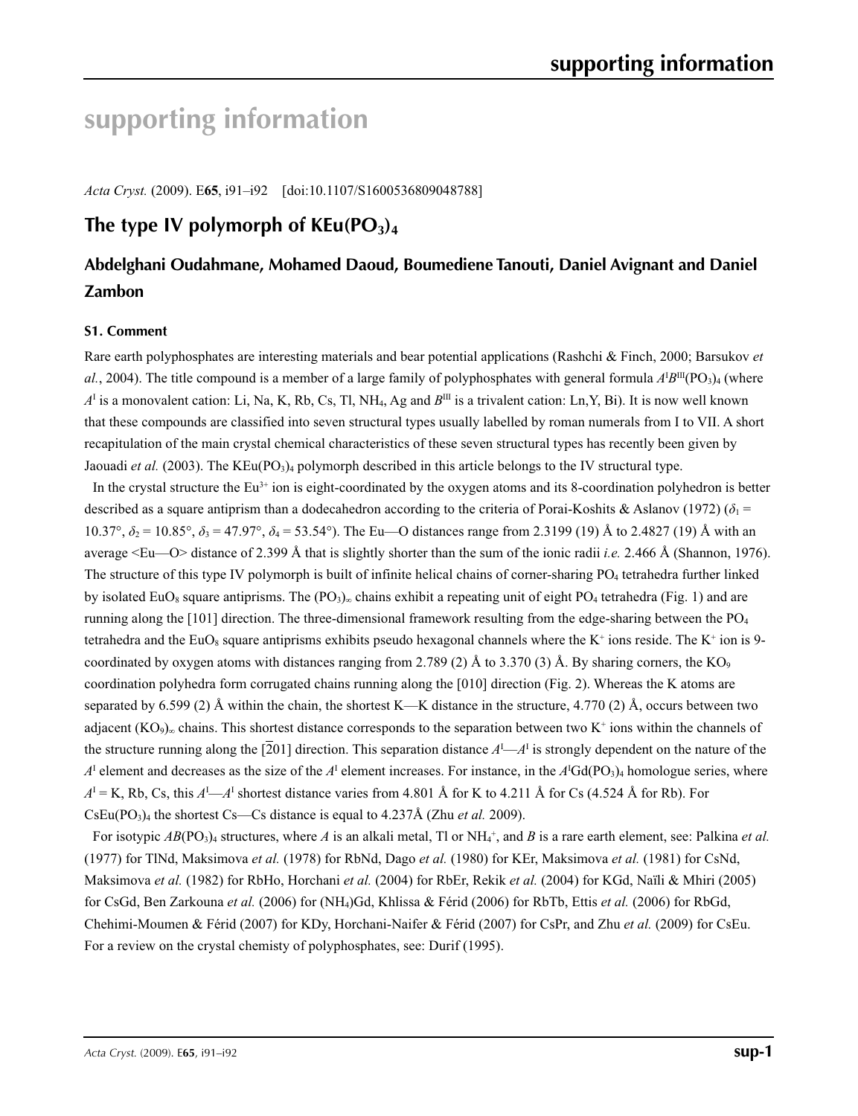# **supporting information**

*Acta Cryst.* (2009). E**65**, i91–i92 [doi:10.1107/S1600536809048788]

# The type IV polymorph of  $KEu(PO<sub>3</sub>)<sub>4</sub>$

# **Abdelghani Oudahmane, Mohamed Daoud, Boumediene Tanouti, Daniel Avignant and Daniel Zambon**

### **S1. Comment**

Rare earth polyphosphates are interesting materials and bear potential applications (Rashchi & Finch, 2000; Barsukov *et*   $al.$ , 2004). The title compound is a member of a large family of polyphosphates with general formula  $A^1B^{\text{III}}(PO_3)_4$  (where *A*I is a monovalent cation: Li, Na, K, Rb, Cs, Tl, NH4, Ag and *B*III is a trivalent cation: Ln,Y, Bi). It is now well known that these compounds are classified into seven structural types usually labelled by roman numerals from I to VII. A short recapitulation of the main crystal chemical characteristics of these seven structural types has recently been given by Jaouadi *et al.* (2003). The KEu(PO<sub>3</sub>)<sub>4</sub> polymorph described in this article belongs to the IV structural type.

In the crystal structure the  $Eu^{3+}$  ion is eight-coordinated by the oxygen atoms and its 8-coordination polyhedron is better described as a square antiprism than a dodecahedron according to the criteria of Porai-Koshits & Aslanov (1972) ( $\delta_1$  =  $10.37^{\circ}$ ,  $\delta_2 = 10.85^{\circ}$ ,  $\delta_3 = 47.97^{\circ}$ ,  $\delta_4 = 53.54^{\circ}$ ). The Eu—O distances range from 2.3199 (19) Å to 2.4827 (19) Å with an average <Eu—O> distance of 2.399 Å that is slightly shorter than the sum of the ionic radii *i.e.* 2.466 Å (Shannon, 1976). The structure of this type IV polymorph is built of infinite helical chains of corner-sharing PO<sub>4</sub> tetrahedra further linked by isolated EuO<sub>8</sub> square antiprisms. The  $(PO_3)_{\infty}$  chains exhibit a repeating unit of eight PO<sub>4</sub> tetrahedra (Fig. 1) and are running along the  $[101]$  direction. The three-dimensional framework resulting from the edge-sharing between the  $PO<sub>4</sub>$ tetrahedra and the EuO<sub>8</sub> square antiprisms exhibits pseudo hexagonal channels where the K<sup>+</sup> ions reside. The K<sup>+</sup> ion is 9coordinated by oxygen atoms with distances ranging from 2.789 (2) Å to 3.370 (3) Å. By sharing corners, the KO<sub>9</sub> coordination polyhedra form corrugated chains running along the [010] direction (Fig. 2). Whereas the K atoms are separated by 6.599 (2) Å within the chain, the shortest K—K distance in the structure, 4.770 (2) Å, occurs between two adjacent  $(KO<sub>9</sub>)<sub>∞</sub>$  chains. This shortest distance corresponds to the separation between two K<sup>+</sup> ions within the channels of the structure running along the  $\overline{[201]}$  direction. This separation distance  $A^{I}$ — $A^{I}$  is strongly dependent on the nature of the  $A<sup>I</sup>$  element and decreases as the size of the  $A<sup>I</sup>$  element increases. For instance, in the  $A<sup>I</sup>Gd(PO<sub>3</sub>)<sub>4</sub>$  homologue series, where  $A<sup>I</sup> = K$ , Rb, Cs, this  $A<sup>I</sup>$ — $A<sup>I</sup>$  shortest distance varies from 4.801 Å for K to 4.211 Å for Cs (4.524 Å for Rb). For CsEu(PO3)4 the shortest Cs—Cs distance is equal to 4.237Å (Zhu *et al.* 2009).

For isotypic  $AB(PO_3)_4$  structures, where A is an alkali metal, Tl or NH<sub>4</sub><sup>+</sup>, and B is a rare earth element, see: Palkina *et al.* (1977) for TlNd, Maksimova *et al.* (1978) for RbNd, Dago *et al.* (1980) for KEr, Maksimova *et al.* (1981) for CsNd, Maksimova *et al.* (1982) for RbHo, Horchani *et al.* (2004) for RbEr, Rekik *et al.* (2004) for KGd, Naïli & Mhiri (2005) for CsGd, Ben Zarkouna *et al.* (2006) for (NH4)Gd, Khlissa & Férid (2006) for RbTb, Ettis *et al.* (2006) for RbGd, Chehimi-Moumen & Férid (2007) for KDy, Horchani-Naifer & Férid (2007) for CsPr, and Zhu *et al.* (2009) for CsEu. For a review on the crystal chemisty of polyphosphates, see: Durif (1995).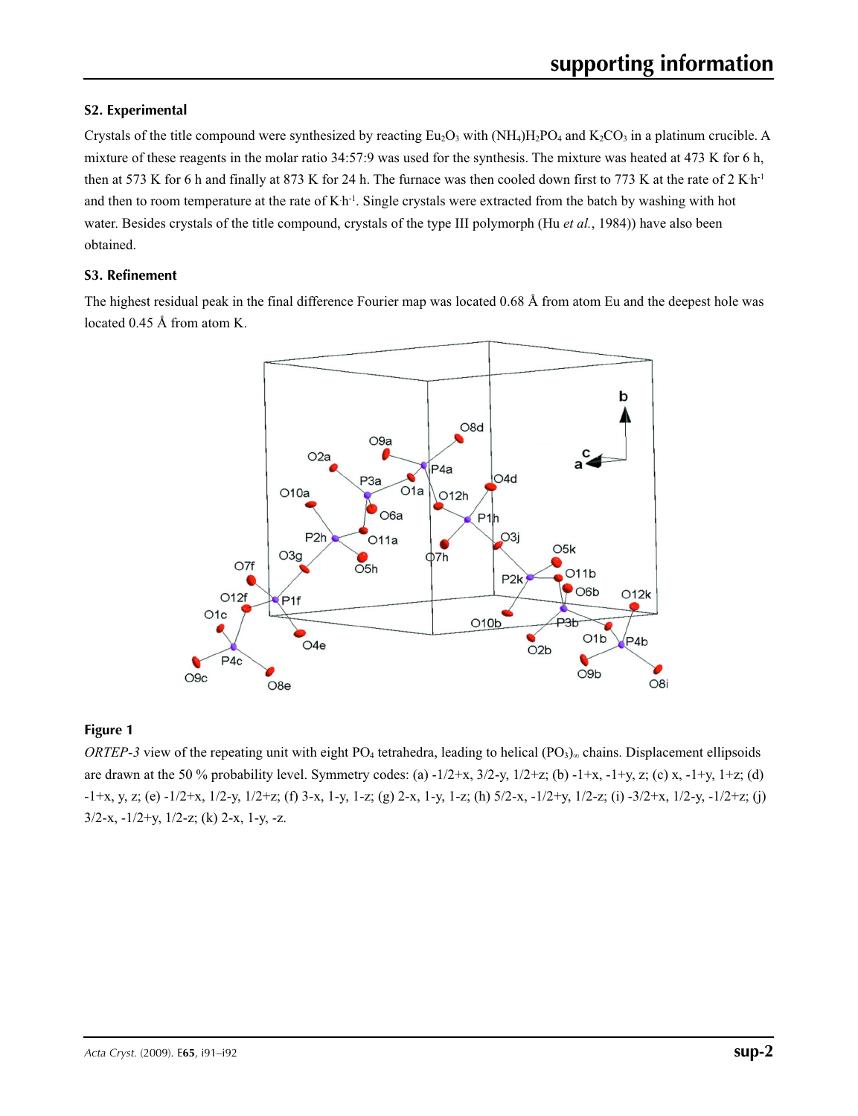### **S2. Experimental**

Crystals of the title compound were synthesized by reacting  $Eu_2O_3$  with  $(NH_4)H_2PO_4$  and  $K_2CO_3$  in a platinum crucible. A mixture of these reagents in the molar ratio 34:57:9 was used for the synthesis. The mixture was heated at 473 K for 6 h, then at 573 K for 6 h and finally at 873 K for 24 h. The furnace was then cooled down first to 773 K at the rate of  $2 \text{ K h}$ <sup>1</sup> and then to room temperature at the rate of  $Kh<sup>1</sup>$ . Single crystals were extracted from the batch by washing with hot water. Besides crystals of the title compound, crystals of the type III polymorph (Hu *et al.*, 1984)) have also been obtained.

### **S3. Refinement**

The highest residual peak in the final difference Fourier map was located 0.68 Å from atom Eu and the deepest hole was located 0.45 Å from atom K.



### **Figure 1**

*ORTEP*-3 view of the repeating unit with eight PO<sub>4</sub> tetrahedra, leading to helical (PO<sub>3</sub>)∞ chains. Displacement ellipsoids are drawn at the 50 % probability level. Symmetry codes: (a)  $-1/2+x$ ,  $3/2-y$ ,  $1/2+z$ ; (b)  $-1+x$ ,  $-1+y$ , z; (c) x,  $-1+y$ ,  $1+z$ ; (d) -1+x, y, z; (e) -1/2+x, 1/2-y, 1/2+z; (f) 3-x, 1-y, 1-z; (g) 2-x, 1-y, 1-z; (h) 5/2-x, -1/2+y, 1/2-z; (i) -3/2+x, 1/2-y, -1/2+z; (j)  $3/2-x$ ,  $-1/2+y$ ,  $1/2-z$ ; (k)  $2-x$ ,  $1-y$ ,  $-z$ .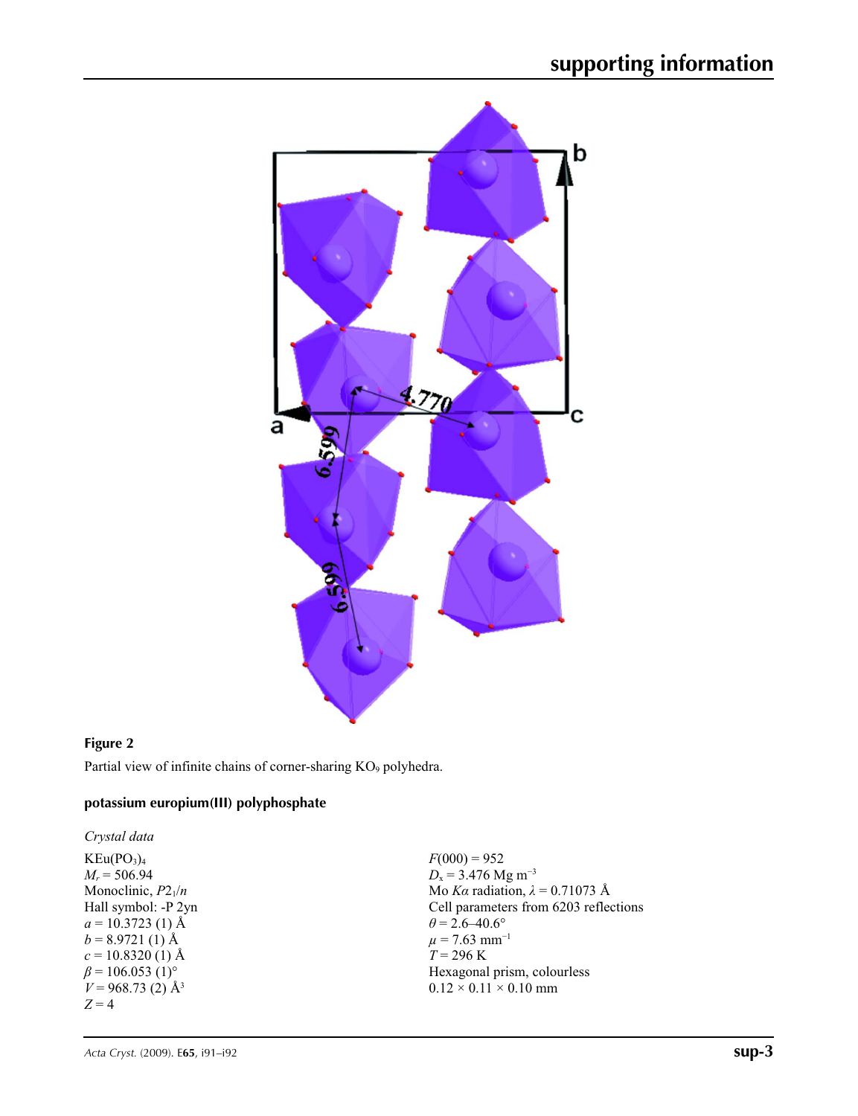

### **Figure 2**

Partial view of infinite chains of corner-sharing KO<sub>9</sub> polyhedra.

## **potassium europium(III) polyphosphate**

*Crystal data*  $KEu(PO<sub>3</sub>)<sub>4</sub>$ *Mr* = 506.94 Monoclinic,  $P2_1/n$ Hall symbol: -P 2yn  $a = 10.3723$  (1) Å  $b = 8.9721(1)$  Å  $c = 10.8320$  (1) Å  $\beta$  = 106.053 (1)<sup>o</sup>  $V = 968.73$  (2) Å<sup>3</sup> *Z* = 4

 $F(000) = 952$ *D*<sub>x</sub> = 3.476 Mg m<sup>-3</sup> Mo *Kα* radiation,  $\lambda = 0.71073$  Å Cell parameters from 6203 reflections  $\theta$  = 2.6–40.6°  $\mu$  = 7.63 mm<sup>-1</sup>  $T = 296$  K Hexagonal prism, colourless  $0.12 \times 0.11 \times 0.10$  mm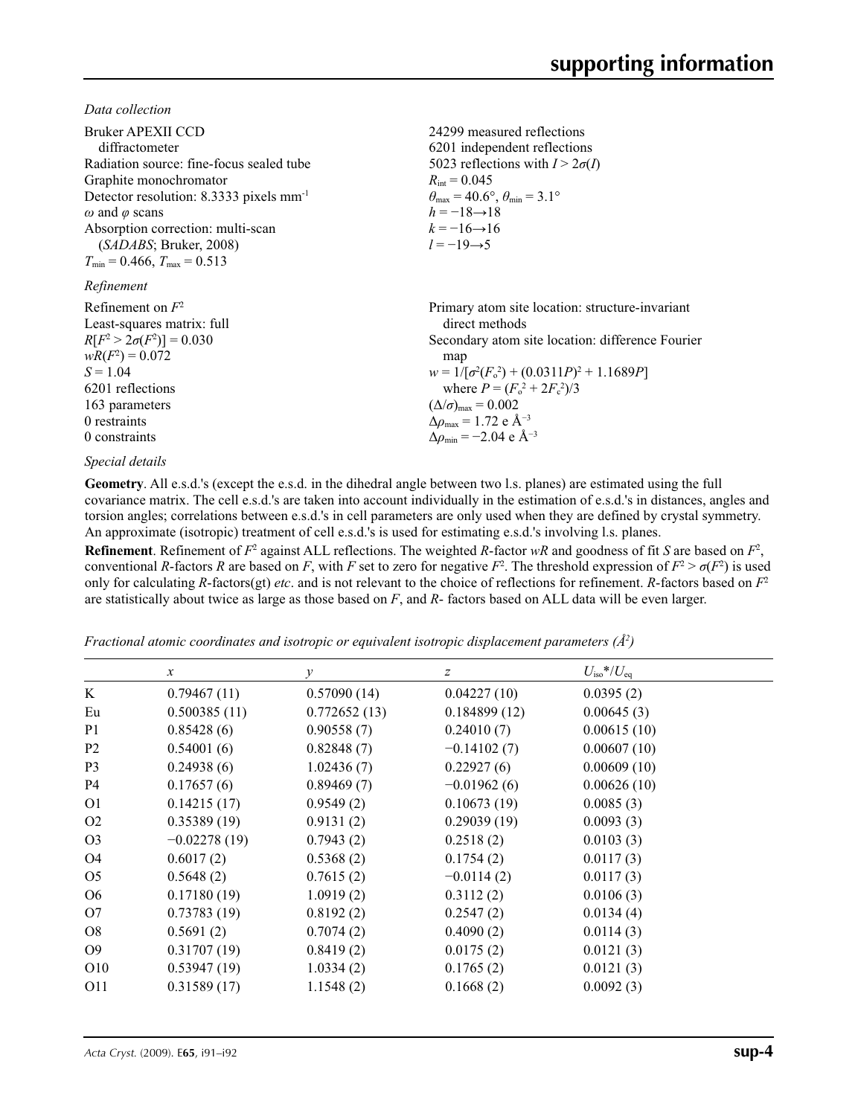*Data collection*

| Bruker APEXII CCD<br>diffractometer<br>Radiation source: fine-focus sealed tube<br>Graphite monochromator<br>Detector resolution: 8.3333 pixels $mm-1$<br>$\omega$ and $\varphi$ scans<br>Absorption correction: multi-scan<br>(SADABS; Bruker, 2008)<br>$T_{\min}$ = 0.466, $T_{\max}$ = 0.513<br>Refinement | 24299 measured reflections<br>6201 independent reflections<br>5023 reflections with $I > 2\sigma(I)$<br>$R_{\text{int}} = 0.045$<br>$\theta_{\text{max}} = 40.6^{\circ}, \theta_{\text{min}} = 3.1^{\circ}$<br>$h = -18 \rightarrow 18$<br>$k = -16 \rightarrow 16$<br>$l = -19 \rightarrow 5$ |
|---------------------------------------------------------------------------------------------------------------------------------------------------------------------------------------------------------------------------------------------------------------------------------------------------------------|------------------------------------------------------------------------------------------------------------------------------------------------------------------------------------------------------------------------------------------------------------------------------------------------|
| Refinement on $F^2$                                                                                                                                                                                                                                                                                           | Primary atom site location: structure-invariant                                                                                                                                                                                                                                                |
| Least-squares matrix: full                                                                                                                                                                                                                                                                                    | direct methods                                                                                                                                                                                                                                                                                 |
| $R[F^2 > 2\sigma(F^2)] = 0.030$                                                                                                                                                                                                                                                                               | Secondary atom site location: difference Fourier                                                                                                                                                                                                                                               |
| $wR(F^2) = 0.072$                                                                                                                                                                                                                                                                                             | map                                                                                                                                                                                                                                                                                            |
| $S = 1.04$                                                                                                                                                                                                                                                                                                    | $w = 1/[\sigma^2(F_0^2) + (0.0311P)^2 + 1.1689P]$                                                                                                                                                                                                                                              |
| 6201 reflections                                                                                                                                                                                                                                                                                              | where $P = (F_o^2 + 2F_c^2)/3$                                                                                                                                                                                                                                                                 |
| 163 parameters                                                                                                                                                                                                                                                                                                | $(\Delta/\sigma)_{\text{max}} = 0.002$                                                                                                                                                                                                                                                         |
| 0 restraints                                                                                                                                                                                                                                                                                                  | $\Delta\rho_{\text{max}} = 1.72$ e Å <sup>-3</sup>                                                                                                                                                                                                                                             |
| 0 constraints                                                                                                                                                                                                                                                                                                 | $\Delta\rho_{\rm min} = -2.04 \text{ e A}^{-3}$                                                                                                                                                                                                                                                |

#### *Special details*

**Geometry**. All e.s.d.'s (except the e.s.d. in the dihedral angle between two l.s. planes) are estimated using the full covariance matrix. The cell e.s.d.'s are taken into account individually in the estimation of e.s.d.'s in distances, angles and torsion angles; correlations between e.s.d.'s in cell parameters are only used when they are defined by crystal symmetry. An approximate (isotropic) treatment of cell e.s.d.'s is used for estimating e.s.d.'s involving l.s. planes.

**Refinement**. Refinement of  $F^2$  against ALL reflections. The weighted *R*-factor  $wR$  and goodness of fit *S* are based on  $F^2$ , conventional *R*-factors *R* are based on *F*, with *F* set to zero for negative  $F^2$ . The threshold expression of  $F^2 > \sigma(F^2)$  is used only for calculating *R*-factors(gt) *etc*. and is not relevant to the choice of reflections for refinement. *R*-factors based on *F*<sup>2</sup> are statistically about twice as large as those based on *F*, and *R*- factors based on ALL data will be even larger.

*Fractional atomic coordinates and isotropic or equivalent isotropic displacement parameters (Å2 )*

|                 | $\boldsymbol{\chi}$ | $\mathcal Y$ | $\boldsymbol{Z}$ | $U_{\rm iso}*/U_{\rm eq}$ |  |
|-----------------|---------------------|--------------|------------------|---------------------------|--|
| K               | 0.79467(11)         | 0.57090(14)  | 0.04227(10)      | 0.0395(2)                 |  |
| Eu              | 0.500385(11)        | 0.772652(13) | 0.184899(12)     | 0.00645(3)                |  |
| P <sub>1</sub>  | 0.85428(6)          | 0.90558(7)   | 0.24010(7)       | 0.00615(10)               |  |
| P <sub>2</sub>  | 0.54001(6)          | 0.82848(7)   | $-0.14102(7)$    | 0.00607(10)               |  |
| P <sub>3</sub>  | 0.24938(6)          | 1.02436(7)   | 0.22927(6)       | 0.00609(10)               |  |
| <b>P4</b>       | 0.17657(6)          | 0.89469(7)   | $-0.01962(6)$    | 0.00626(10)               |  |
| O <sub>1</sub>  | 0.14215(17)         | 0.9549(2)    | 0.10673(19)      | 0.0085(3)                 |  |
| O <sub>2</sub>  | 0.35389(19)         | 0.9131(2)    | 0.29039(19)      | 0.0093(3)                 |  |
| O <sub>3</sub>  | $-0.02278(19)$      | 0.7943(2)    | 0.2518(2)        | 0.0103(3)                 |  |
| O <sub>4</sub>  | 0.6017(2)           | 0.5368(2)    | 0.1754(2)        | 0.0117(3)                 |  |
| O <sub>5</sub>  | 0.5648(2)           | 0.7615(2)    | $-0.0114(2)$     | 0.0117(3)                 |  |
| O <sub>6</sub>  | 0.17180(19)         | 1.0919(2)    | 0.3112(2)        | 0.0106(3)                 |  |
| O7              | 0.73783(19)         | 0.8192(2)    | 0.2547(2)        | 0.0134(4)                 |  |
| O <sub>8</sub>  | 0.5691(2)           | 0.7074(2)    | 0.4090(2)        | 0.0114(3)                 |  |
| O <sub>9</sub>  | 0.31707(19)         | 0.8419(2)    | 0.0175(2)        | 0.0121(3)                 |  |
| O <sub>10</sub> | 0.53947(19)         | 1.0334(2)    | 0.1765(2)        | 0.0121(3)                 |  |
| 011             | 0.31589(17)         | 1.1548(2)    | 0.1668(2)        | 0.0092(3)                 |  |
|                 |                     |              |                  |                           |  |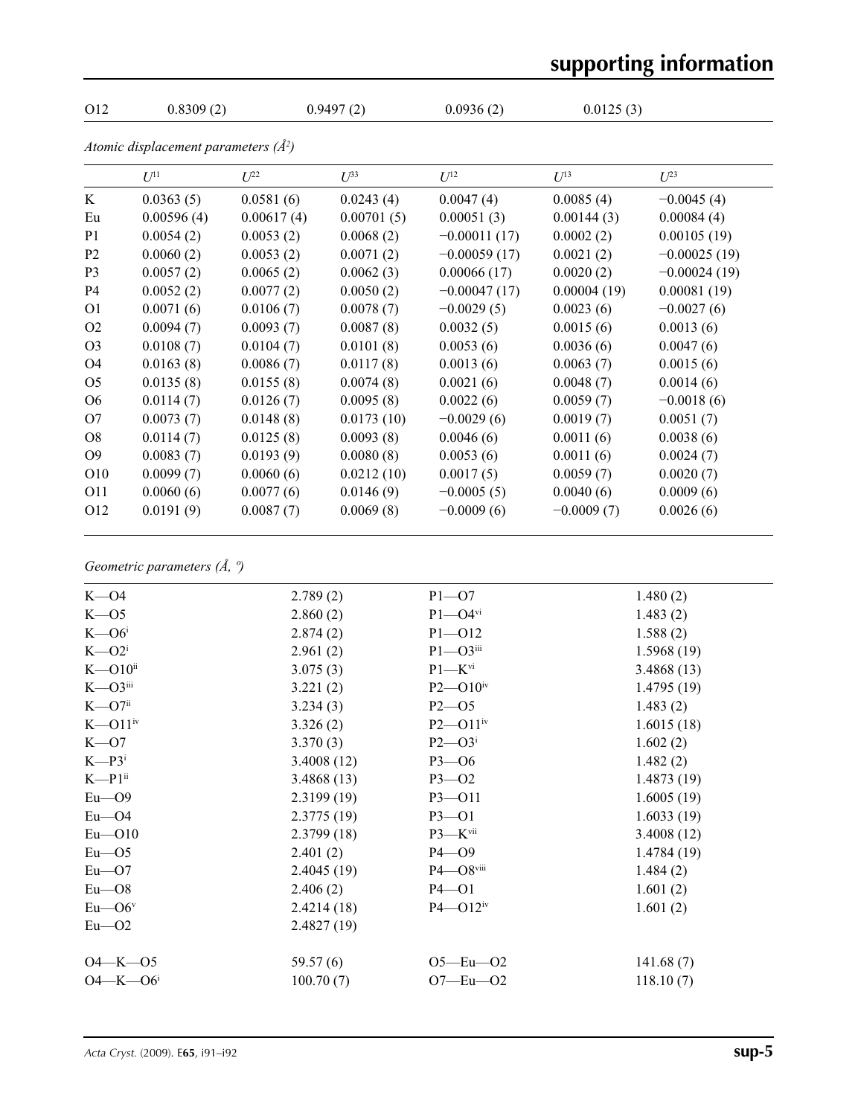# $0.012$  0.8309 (2) 0.9497 (2) 0.0936 (2) 0.0125 (3) *Atomic displacement parameters (Å2 ) U*<sup>11</sup> *U*<sup>22</sup> *U*<sup>33</sup> *U*<sup>12</sup> *U*<sup>13</sup> *U*<sup>23</sup> K  $0.0363(5)$   $0.0581(6)$   $0.0243(4)$   $0.0047(4)$   $0.0085(4)$   $-0.0045(4)$ Eu  $0.00596 (4)$   $0.00617 (4)$   $0.00701 (5)$   $0.00051 (3)$   $0.00144 (3)$   $0.00084 (4)$ P1 0.0054 (2) 0.0053 (2) 0.0068 (2) −0.00011 (17) 0.0002 (2) 0.00105 (19) P2 0.0060 (2) 0.0053 (2) 0.0071 (2) −0.00059 (17) 0.0021 (2) −0.00025 (19) P3 0.0057 (2) 0.0065 (2) 0.0062 (3) 0.00066 (17) 0.0020 (2) −0.00024 (19) P4 0.0052 (2) 0.0077 (2) 0.0050 (2) −0.00047 (17) 0.00004 (19) 0.00081 (19) O1  $0.0071(6)$   $0.0106(7)$   $0.0078(7)$   $-0.0029(5)$   $0.0023(6)$   $-0.0027(6)$ O2  $0.0094(7)$   $0.0093(7)$   $0.0087(8)$   $0.0032(5)$   $0.0015(6)$   $0.0013(6)$  $0.03$   $0.0108(7)$   $0.0104(7)$   $0.0101(8)$   $0.0053(6)$   $0.0036(6)$   $0.0047(6)$  $0.0163(8)$  0.0086 (7) 0.0117 (8) 0.0013 (6) 0.0063 (7) 0.0015 (6)  $0.0135(8)$  0.0135 (8) 0.0074 (8) 0.0021 (6) 0.0048 (7) 0.0014 (6) O6 0.0114 (7) 0.0126 (7) 0.0095 (8) 0.0022 (6) 0.0059 (7) −0.0018 (6) O7  $0.0073$  (7)  $0.0148$  (8)  $0.0173$  (10)  $-0.0029$  (6)  $0.0019$  (7)  $0.0051$  (7)  $0.0114(7)$   $0.0125(8)$   $0.0093(8)$   $0.0046(6)$   $0.0011(6)$   $0.0038(6)$  $O9$  0.0083 (7) 0.0193 (9) 0.0080 (8) 0.0053 (6) 0.0011 (6) 0.0024 (7)  $O10 \qquad 0.0099 \, (7) \qquad 0.0060 \, (6) \qquad 0.0212 \, (10) \qquad 0.0017 \, (5) \qquad 0.0059 \, (7) \qquad 0.0020 \, (7)$ O11  $0.0060(6)$   $0.0077(6)$   $0.0146(9)$   $-0.0005(5)$   $0.0040(6)$   $0.0009(6)$ O12  $0.0191(9)$   $0.0087(7)$   $0.0069(8)$   $-0.0009(6)$   $-0.0009(7)$   $0.0026(6)$

#### *Geometric parameters (Å, º)*

| $K - 04$                  | 2.789(2)   | $P1 - O7$                | 1.480(2)   |
|---------------------------|------------|--------------------------|------------|
| $K - 05$                  | 2.860(2)   | $P1 - Q4$ <sup>vi</sup>  | 1.483(2)   |
| $K - O6$                  | 2.874(2)   | $P1 - 012$               | 1.588(2)   |
| $K - O2i$                 | 2.961(2)   | $P1 - O3$ iii            | 1.5968(19) |
| $K$ — $O10$ <sup>ii</sup> | 3.075(3)   | $P1 - K$ <sup>vi</sup>   | 3.4868(13) |
| $K - O3$ iii              | 3.221(2)   | $P2 - O10^{iv}$          | 1.4795(19) |
| $K = O7ii$                | 3.234(3)   | $P2 - 05$                | 1.483(2)   |
| $K$ — $O11$ <sup>iv</sup> | 3.326(2)   | $P2 - O11$ iv            | 1.6015(18) |
| $K = 07$                  | 3.370(3)   | $P2$ — $O3i$             | 1.602(2)   |
| $K = P3i$                 | 3.4008(12) | $P3 - 06$                | 1.482(2)   |
| $K- P1$ <sup>ii</sup>     | 3.4868(13) | $P3 - O2$                | 1.4873(19) |
| $Eu - O9$                 | 2.3199(19) | $P3 - 011$               | 1.6005(19) |
| $Eu$ — $O$ 4              | 2.3775(19) | $P3 - 01$                | 1.6033(19) |
| $Eu$ — $O10$              | 2.3799(18) | $P3 - K$ vii             | 3.4008(12) |
| $Eu$ — $O5$               | 2.401(2)   | $P4 - Q9$                | 1.4784(19) |
| $Eu$ — $O7$               | 2.4045(19) | $P4 - Q8$ viii           | 1.484(2)   |
| $Eu$ — $O8$               | 2.406(2)   | $P4 - O1$                | 1.601(2)   |
| $Eu$ — $O6v$              | 2.4214(18) | $P4 - Q12$ <sup>iv</sup> | 1.601(2)   |
| $Eu$ — $O2$               | 2.4827(19) |                          |            |
| $O4 - K - O5$             | 59.57(6)   | $O5 - Eu - O2$           | 141.68(7)  |
| $O4 - K - O6$             | 100.70(7)  | $O7$ —Eu— $O2$           | 118.10(7)  |
|                           |            |                          |            |

# **supporting information**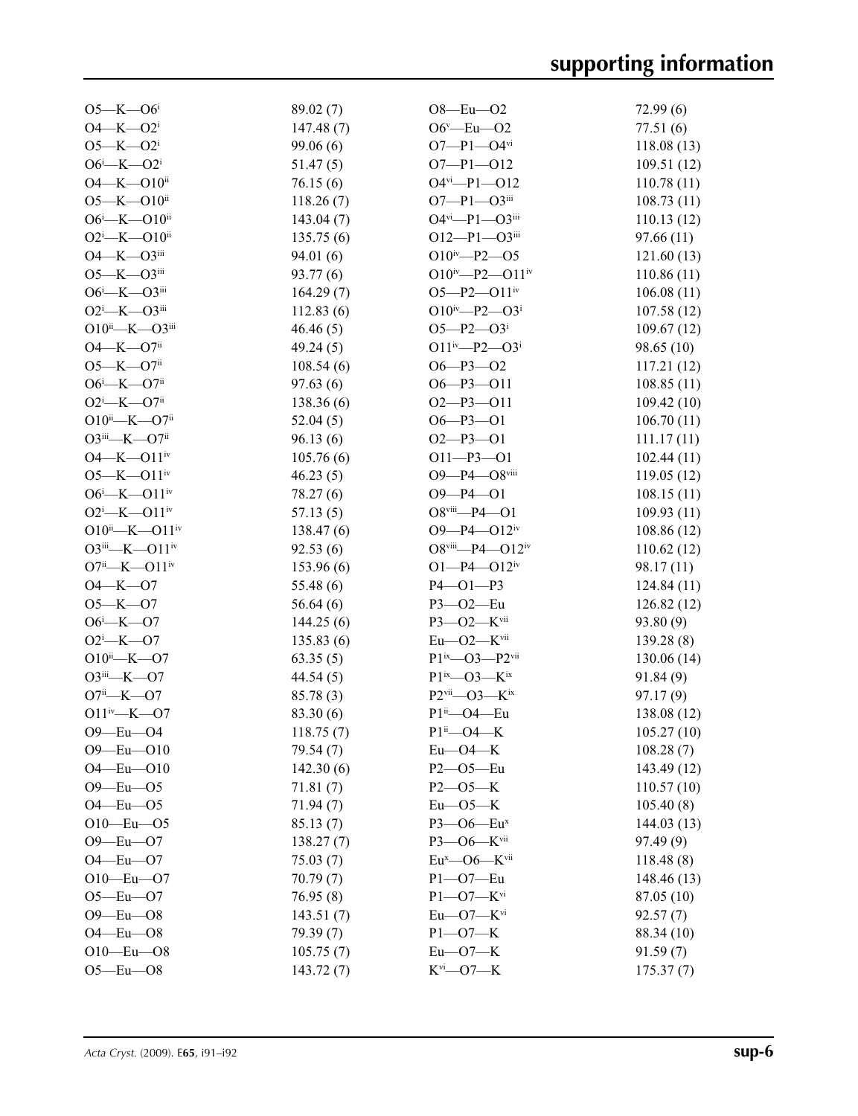| $O5 - K - O6$                              | 89.02(7)  | $O8$ —Eu— $O2$                                 | 72.99(6)    |
|--------------------------------------------|-----------|------------------------------------------------|-------------|
| $O4 - K - O2$ <sup>i</sup>                 | 147.48(7) | $O6^v$ -Eu- $O2$                               | 77.51(6)    |
| $O5 - K - O2$ <sup>i</sup>                 | 99.06(6)  | $O7 - P1 - O4$ <sup>vi</sup>                   | 118.08(13)  |
| $O6^i$ -K- $O2^i$                          | 51.47(5)  | $O7 - P1 - O12$                                | 109.51(12)  |
| $O4 - K - O10$ ii                          | 76.15(6)  | $O4$ <sup>vi</sup> -P1- $O12$                  | 110.78(11)  |
| $O5 - K - O10$ <sup>ii</sup>               | 118.26(7) | $O7 - P1 - O3$ iii                             | 108.73(11)  |
| $O6^i$ —K— $O10^{ii}$                      | 143.04(7) | $O4$ <sup>vi</sup> -P1- $O3$ <sup>iii</sup>    | 110.13(12)  |
| $O2^i$ -K- $O10^{ii}$                      | 135.75(6) | $O12-P1-O3$ iii                                | 97.66 (11)  |
| $O4 - K - O3$ <sup>iii</sup>               | 94.01 (6) | $O10^{iv} - P2 - 05$                           | 121.60(13)  |
| O5-K-O3iii                                 | 93.77 (6) | O $10^{iv}$ -P2-O $11^{iv}$                    | 110.86(11)  |
| $O6^i$ —K— $O3$ <sup>iii</sup>             | 164.29(7) | $O5 - P2 - O11$ <sup>iv</sup>                  | 106.08(11)  |
| $O2^i$ -K- $O3^{iii}$                      | 112.83(6) | $O10^{iv} - P2 - O3^i$                         | 107.58(12)  |
| $O10^{ii}$ —K— $O3^{iii}$                  | 46.46(5)  | $O5 - P2 - O3$                                 | 109.67(12)  |
| $O4 - K - O7$ <sup>ii</sup>                | 49.24(5)  | $O11^{iv} - P2 - O3^i$                         | 98.65(10)   |
| $O5 - K - O7$ <sup>ii</sup>                | 108.54(6) | $O6 - P3 - O2$                                 | 117.21(12)  |
| $O6$ <sup>i</sup> —K—O7 <sup>ii</sup>      | 97.63(6)  | $O6 - P3 - O11$                                | 108.85(11)  |
| $O2^{\text{i}}$ -K- $O7^{\text{ii}}$       | 138.36(6) | $O2-P3-O11$                                    | 109.42(10)  |
| $O10^{ii}$ —K— $O7^{ii}$                   | 52.04(5)  | $O6 - P3 - O1$                                 | 106.70(11)  |
| $O3$ <sup>iii</sup> —K— $O7$ <sup>ii</sup> | 96.13(6)  | $O2-P3-O1$                                     | 111.17(11)  |
| $O4 - K - O11$ <sup>iv</sup>               | 105.76(6) | $O11 - P3 - O1$                                | 102.44(11)  |
| $O5 - K - O11$ <sup>iv</sup>               | 46.23(5)  | O9-P4-O8viii                                   | 119.05(12)  |
| $O6^{\text{i}}$ -K- $O11^{\text{iv}}$      | 78.27 (6) | $O9 - P4 - O1$                                 | 108.15(11)  |
| $O2^i$ —K— $O11^iv$                        | 57.13(5)  | $O8$ <sup>viii</sup> -P4- $O1$                 | 109.93(11)  |
| $O10^{ii}$ —K— $O11^{iv}$                  | 138.47(6) | $O9 - P4 - O12$ iv                             | 108.86(12)  |
| $O3^{iii}$ -K- $O11^{iv}$                  | 92.53(6)  | $O8$ <sup>viii</sup> —P4— $O12$ <sup>iv</sup>  | 110.62(12)  |
| $O7^{ii}$ —K— $O11^{iv}$                   | 153.96(6) | $O1 - P4 - O12$ iv                             | 98.17 (11)  |
| $O4 - K - O7$                              | 55.48(6)  | $P4 - O1 - P3$                                 | 124.84(11)  |
| $O5 - K - O7$                              | 56.64(6)  | P3-02-Eu                                       | 126.82(12)  |
| $O6 - K - O7$                              | 144.25(6) | P3-02-Kvii                                     | 93.80 (9)   |
| $O2^i$ -K- $O7$                            | 135.83(6) | $Eu$ — $O2$ — $K$ <sup>vii</sup>               | 139.28(8)   |
| $O10^{ii}$ —K—O7                           | 63.35(5)  | $P1^{ix}$ - $O3$ - $P2^{vii}$                  | 130.06 (14) |
| $O3$ iii—K— $O7$                           | 44.54(5)  | $P1^{ix}$ — $O3$ — $K^{ix}$                    | 91.84(9)    |
| $O7i$ <sup>i</sup> -K- $O7$                | 85.78 (3) | $P2$ <sup>vii</sup> — $O3$ — $K$ <sup>ix</sup> | 97.17(9)    |
| $O11^{iv}$ – K–O7                          | 83.30 (6) | $P1ii$ <sup>-O4-Eu</sup>                       | 138.08 (12) |
| O9-Eu-O4                                   | 118.75(7) | P1ii-O4-K                                      | 105.27(10)  |
| $O9$ —Eu— $O10$                            | 79.54 (7) | $Eu$ — $O$ 4— $K$                              | 108.28(7)   |
| $O4 - Eu - O10$                            | 142.30(6) | $P2 - 05 - Eu$                                 | 143.49 (12) |
| $O9 - Eu - O5$                             | 71.81(7)  | $P2 - 05 - K$                                  | 110.57(10)  |
| $O4$ -Eu- $O5$                             | 71.94(7)  | $Eu$ -05- $K$                                  | 105.40(8)   |
| $O10 - Eu - O5$                            | 85.13(7)  | P3-06-Eu <sup>x</sup>                          | 144.03(13)  |
| $O9 - Eu - O7$                             | 138.27(7) | P3-O6-Kvii                                     | 97.49 (9)   |
| $O4$ -Eu- $O7$                             | 75.03(7)  | $Eu^{x}$ - O6 - K <sup>vii</sup>               | 118.48(8)   |
| $O10 - Eu - O7$                            | 70.79(7)  | $P1 - O7 - Eu$                                 | 148.46 (13) |
| $O5 - Eu - O7$                             | 76.95(8)  | $P1 - O7 - K$ vi                               | 87.05 (10)  |
| $O9$ -Eu- $O8$                             | 143.51(7) | $Eu$ — $O7$ — $K$ <sup>vi</sup>                | 92.57(7)    |
| $O4 - Eu - O8$                             | 79.39(7)  | $P1 - O7 - K$                                  | 88.34 (10)  |
| $O10 - Eu - O8$                            | 105.75(7) | $Eu$ -07-K                                     | 91.59(7)    |
| $O5 - Eu - O8$                             | 143.72(7) | $K^{vi}$ —O7—K                                 | 175.37(7)   |